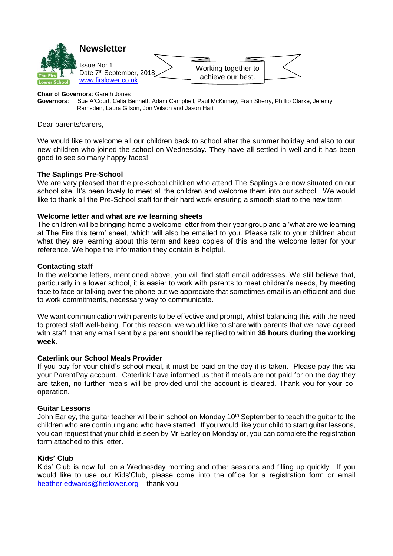

#### **Chair of Governors**: Gareth Jones

**Governors**: Sue A'Court, Celia Bennett, Adam Campbell, Paul McKinney, Fran Sherry, Phillip Clarke, Jeremy Ramsden, Laura Gilson, Jon Wilson and Jason Hart

Dear parents/carers,

We would like to welcome all our children back to school after the summer holiday and also to our new children who joined the school on Wednesday. They have all settled in well and it has been good to see so many happy faces!

#### **The Saplings Pre-School**

We are very pleased that the pre-school children who attend The Saplings are now situated on our school site. It's been lovely to meet all the children and welcome them into our school. We would like to thank all the Pre-School staff for their hard work ensuring a smooth start to the new term.

#### **Welcome letter and what are we learning sheets**

The children will be bringing home a welcome letter from their year group and a 'what are we learning at The Firs this term' sheet, which will also be emailed to you. Please talk to your children about what they are learning about this term and keep copies of this and the welcome letter for your reference. We hope the information they contain is helpful.

#### **Contacting staff**

In the welcome letters, mentioned above, you will find staff email addresses. We still believe that, particularly in a lower school, it is easier to work with parents to meet children's needs, by meeting face to face or talking over the phone but we appreciate that sometimes email is an efficient and due to work commitments, necessary way to communicate.

We want communication with parents to be effective and prompt, whilst balancing this with the need to protect staff well-being. For this reason, we would like to share with parents that we have agreed with staff, that any email sent by a parent should be replied to within **36 hours during the working week.**

## **Caterlink our School Meals Provider**

If you pay for your child's school meal, it must be paid on the day it is taken. Please pay this via your ParentPay account. Caterlink have informed us that if meals are not paid for on the day they are taken, no further meals will be provided until the account is cleared. Thank you for your cooperation.

#### **Guitar Lessons**

John Earley, the quitar teacher will be in school on Monday 10<sup>th</sup> September to teach the quitar to the children who are continuing and who have started. If you would like your child to start guitar lessons, you can request that your child is seen by Mr Earley on Monday or, you can complete the registration form attached to this letter.

#### **Kids' Club**

Kids' Club is now full on a Wednesday morning and other sessions and filling up quickly. If you would like to use our Kids'Club, please come into the office for a registration form or email [heather.edwards@firslower.org](mailto:heather.edwards@firslower.org) – thank you.